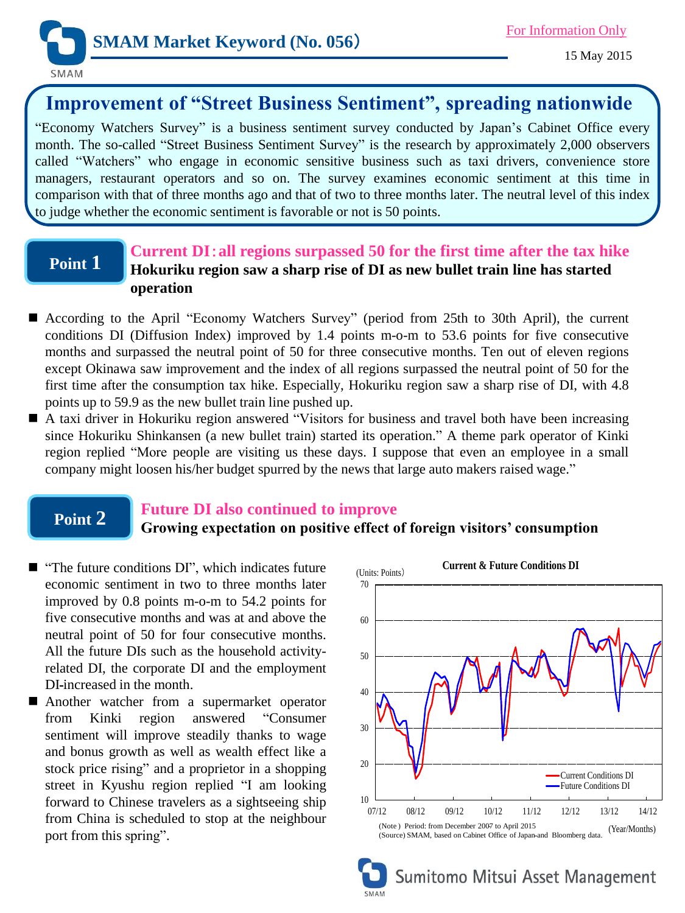

## **Improvement of "Street Business Sentiment", spreading nationwide**

"Economy Watchers Survey" is a business sentiment survey conducted by Japan's Cabinet Office every month. The so-called "Street Business Sentiment Survey" is the research by approximately 2,000 observers called "Watchers" who engage in economic sensitive business such as taxi drivers, convenience store managers, restaurant operators and so on. The survey examines economic sentiment at this time in comparison with that of three months ago and that of two to three months later. The neutral level of this index to judge whether the economic sentiment is favorable or not is 50 points.

# **Point 1**

### **Current DI**:**all regions surpassed 50 for the first time after the tax hike Hokuriku region saw a sharp rise of DI as new bullet train line has started operation**

- According to the April "Economy Watchers Survey" (period from 25th to 30th April), the current conditions DI (Diffusion Index) improved by 1.4 points m-o-m to 53.6 points for five consecutive months and surpassed the neutral point of 50 for three consecutive months. Ten out of eleven regions except Okinawa saw improvement and the index of all regions surpassed the neutral point of 50 for the first time after the consumption tax hike. Especially, Hokuriku region saw a sharp rise of DI, with 4.8 points up to 59.9 as the new bullet train line pushed up.
- A taxi driver in Hokuriku region answered "Visitors for business and travel both have been increasing since Hokuriku Shinkansen (a new bullet train) started its operation." A theme park operator of Kinki region replied "More people are visiting us these days. I suppose that even an employee in a small company might loosen his/her budget spurred by the news that large auto makers raised wage."

## **Point 2**

### **Future DI also continued to improve**

### **Growing expectation on positive effect of foreign visitors' consumption**

- "The future conditions DI", which indicates future economic sentiment in two to three months later improved by 0.8 points m-o-m to 54.2 points for five consecutive months and was at and above the neutral point of 50 for four consecutive months. All the future DIs such as the household activityrelated DI, the corporate DI and the employment DI increased in the month.
- **Another watcher from a supermarket operator** from Kinki region answered "Consumer sentiment will improve steadily thanks to wage and bonus growth as well as wealth effect like a stock price rising" and a proprietor in a shopping street in Kyushu region replied "I am looking forward to Chinese travelers as a sightseeing ship from China is scheduled to stop at the neighbour port from this spring".